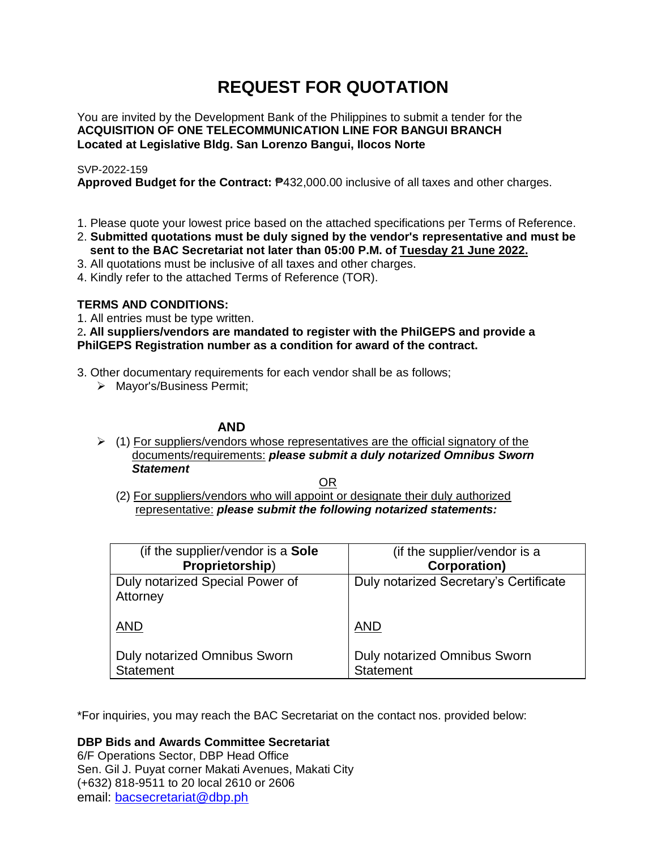# **REQUEST FOR QUOTATION**

You are invited by the Development Bank of the Philippines to submit a tender for the **ACQUISITION OF ONE TELECOMMUNICATION LINE FOR BANGUI BRANCH Located at Legislative Bldg. San Lorenzo Bangui, Ilocos Norte**

# SVP-2022-159

**Approved Budget for the Contract:** ₱432,000.00 inclusive of all taxes and other charges.

- 1. Please quote your lowest price based on the attached specifications per Terms of Reference.
- 2. **Submitted quotations must be duly signed by the vendor's representative and must be sent to the BAC Secretariat not later than 05:00 P.M. of Tuesday 21 June 2022.**
- 3. All quotations must be inclusive of all taxes and other charges.
- 4. Kindly refer to the attached Terms of Reference (TOR).

# **TERMS AND CONDITIONS:**

1. All entries must be type written.

2**. All suppliers/vendors are mandated to register with the PhilGEPS and provide a PhilGEPS Registration number as a condition for award of the contract.**

- 3. Other documentary requirements for each vendor shall be as follows;
	- > Mayor's/Business Permit;

# **AND**

 $\geq$  (1) For suppliers/vendors whose representatives are the official signatory of the documents/requirements: *please submit a duly notarized Omnibus Sworn Statement*

<u>OR Starting and the Starting OR Starting</u>

(2) For suppliers/vendors who will appoint or designate their duly authorized representative: *please submit the following notarized statements:*

| (if the supplier/vendor is a Sole                | (if the supplier/vendor is a                     |
|--------------------------------------------------|--------------------------------------------------|
| Proprietorship)                                  | <b>Corporation)</b>                              |
| Duly notarized Special Power of<br>Attorney      | Duly notarized Secretary's Certificate           |
| <b>AND</b>                                       | <b>AND</b>                                       |
| Duly notarized Omnibus Sworn<br><b>Statement</b> | Duly notarized Omnibus Sworn<br><b>Statement</b> |

\*For inquiries, you may reach the BAC Secretariat on the contact nos. provided below:

**DBP Bids and Awards Committee Secretariat** 

6/F Operations Sector, DBP Head Office Sen. Gil J. Puyat corner Makati Avenues, Makati City (+632) 818-9511 to 20 local 2610 or 2606 email: [bacsecretariat@dbp.ph](mailto:bacsecretariat@dbp.ph)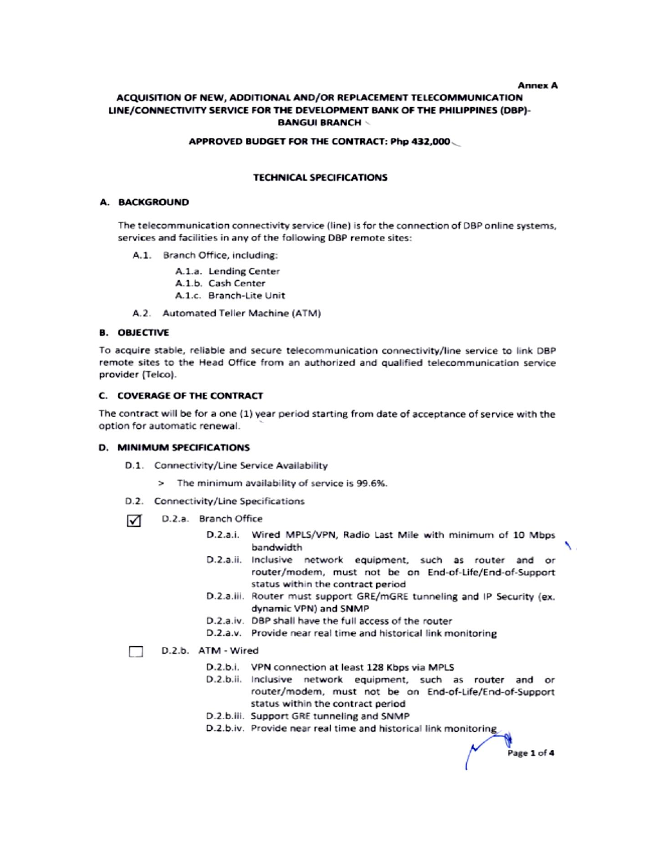#### **Annex A**

ヽ.

Page 1 of 4

## ACQUISITION OF NEW, ADDITIONAL AND/OR REPLACEMENT TELECOMMUNICATION LINE/CONNECTIVITY SERVICE FOR THE DEVELOPMENT BANK OF THE PHILIPPINES (DBP)-**BANGUI BRANCH \**

#### APPROVED BUDGET FOR THE CONTRACT: Php 432,000

## **TECHNICAL SPECIFICATIONS**

#### A. BACKGROUND

The telecommunication connectivity service (line) is for the connection of DBP online systems, services and facilities in any of the following DBP remote sites:

- A.1. Branch Office, including:
	- A.1.a. Lending Center
	- A.1.b. Cash Center
	- A.1.c. Branch-Lite Unit
- A.2. Automated Teller Machine (ATM)

### **B. OBJECTIVE**

To acquire stable, reliable and secure telecommunication connectivity/line service to link DBP remote sites to the Head Office from an authorized and qualified telecommunication service provider (Telco).

#### C. COVERAGE OF THE CONTRACT

The contract will be for a one (1) year period starting from date of acceptance of service with the option for automatic renewal.

#### D. MINIMUM SPECIFICATIONS

- D.1. Connectivity/Line Service Availability
	- > The minimum availability of service is 99.6%.
- D.2. Connectivity/Line Specifications
- D.2.a. Branch Office  $\sqrt{ }$ 
	- D.2.a.i. Wired MPLS/VPN, Radio Last Mile with minimum of 10 Mbps bandwidth
	- D.2.a.ii. Inclusive network equipment, such as router and or router/modem, must not be on End-of-Life/End-of-Support status within the contract period
	- D.2.a.iii. Router must support GRE/mGRE tunneling and IP Security (ex. dynamic VPN) and SNMP
	- D.2.a.iv. DBP shall have the full access of the router
	- D.2.a.v. Provide near real time and historical link monitoring

#### D.2.b. ATM - Wired

- D.2.b.i. VPN connection at least 128 Kbps via MPLS
- D.2.b.ii. Inclusive network equipment, such as router and or router/modem, must not be on End-of-Life/End-of-Support status within the contract period
- D.2.b.iii. Support GRE tunneling and SNMP
- D.2.b.iv. Provide near real time and historical link monitoring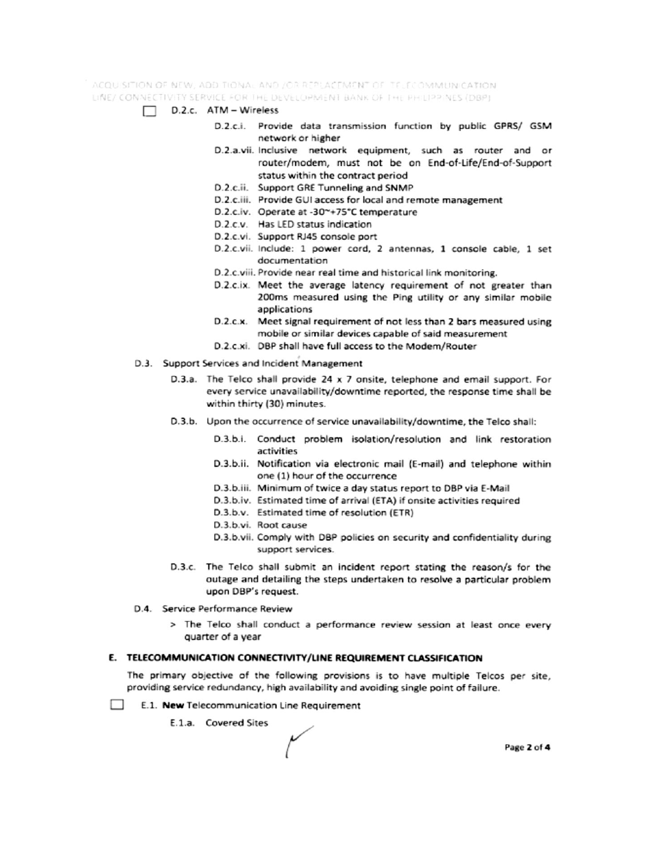ACQUISITION OF NEW, ADDITIONAL AND JOR REPLACEMENT OF TELECOMMUNICATION. LINE/ CONNECTIVITY SERVICE FOR THE DEVELOPMENT BANK OF THE PHILIPPINES (DBP)

- $\Box$  D.2.c. ATM Wireless
	- D.2.c.i. Provide data transmission function by public GPRS/ GSM network or higher
	- D.2.a.vii. Inclusive network equipment, such as router and or router/modem, must not be on End-of-Life/End-of-Support status within the contract period
	- D.2.c.ii. Support GRE Tunneling and SNMP
	- D.2.c.iii. Provide GUI access for local and remote management
	- D.2.c.iv. Operate at -30~+75°C temperature
	- D.2.c.v. Has LED status indication
	- D.2.c.vi. Support RJ45 console port
	- D.2.c.vii. Include: 1 power cord, 2 antennas, 1 console cable, 1 set documentation
	- D.2.c.viii. Provide near real time and historical link monitoring.
	- D.2.c.ix. Meet the average latency requirement of not greater than 200ms measured using the Ping utility or any similar mobile applications
	- D.2.c.x. Meet signal requirement of not less than 2 bars measured using mobile or similar devices capable of said measurement
	- D.2.c.xi. DBP shall have full access to the Modem/Router
- D.3. Support Services and Incident Management
	- D.3.a. The Telco shall provide 24 x 7 onsite, telephone and email support. For every service unavailability/downtime reported, the response time shall be within thirty (30) minutes.
	- D.3.b. Upon the occurrence of service unavailability/downtime, the Telco shall:
		- D.3.b.i. Conduct problem isolation/resolution and link restoration activities
		- D.3.b.ii. Notification via electronic mail (E-mail) and telephone within one (1) hour of the occurrence
		- D.3.b.iii. Minimum of twice a day status report to DBP via E-Mail
		- D.3.b.iv. Estimated time of arrival (ETA) if onsite activities required
		- D.3.b.v. Estimated time of resolution (ETR)
		- D.3.b.vi. Root cause
		- D.3.b.vii. Comply with DBP policies on security and confidentiality during support services.
	- D.3.c. The Telco shall submit an incident report stating the reason/s for the outage and detailing the steps undertaken to resolve a particular problem upon DBP's request.
- D.4. Service Performance Review
	- > The Telco shall conduct a performance review session at least once every quarter of a year

## E. TELECOMMUNICATION CONNECTIVITY/LINE REQUIREMENT CLASSIFICATION

The primary objective of the following provisions is to have multiple Telcos per site, providing service redundancy, high availability and avoiding single point of failure.

- **College** E.1. New Telecommunication Line Requirement
	- E.1.a. Covered Sites

Page 2 of 4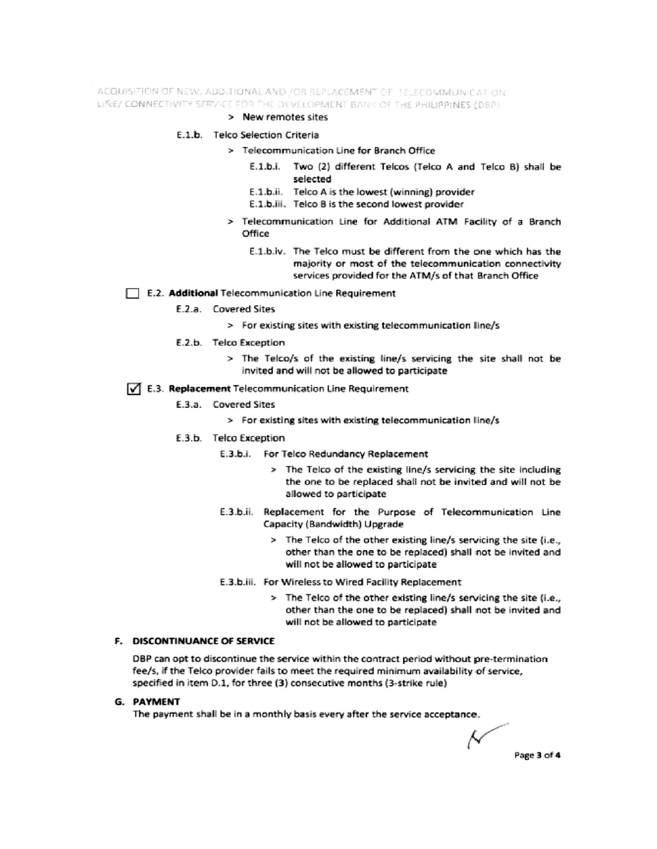ACQUISITION OF NEW, ADDITIONAL AND /OR REPLACEMENT OF TELECOMMUNICATION LINE/ CONNECTIVITY SERVICE FOR THE DEVELOPMENT BANK OF THE PHILIPPINES (DBP)

#### > New remotes sites

## E.1.b. Telco Selection Criteria

- > Telecommunication Line for Branch Office
	- E.1.b.i. Two (2) different Telcos (Telco A and Telco B) shall be selected
	- E.1.b.ii. Telco A is the lowest (winning) provider
	- E.1.b.iii. Telco B is the second lowest provider
- > Telecommunication Line for Additional ATM Facility of a Branch Office
	- E.1.b.iv. The Telco must be different from the one which has the majority or most of the telecommunication connectivity services provided for the ATM/s of that Branch Office

### E.2. Additional Telecommunication Line Requirement

- E.2.a. Covered Sites
	- > For existing sites with existing telecommunication line/s
- E.2.b. Telco Exception
	- > The Telco/s of the existing line/s servicing the site shall not be invited and will not be allowed to participate

## √ E.3. Replacement Telecommunication Line Requirement

- E.3.a. Covered Sites
	- > For existing sites with existing telecommunication line/s
- E.3.b. Telco Exception
	- E.3.b.i. For Telco Redundancy Replacement
		- > The Telco of the existing line/s servicing the site including the one to be replaced shall not be invited and will not be allowed to participate
	- E.3.b.ii. Replacement for the Purpose of Telecommunication Line Capacity (Bandwidth) Upgrade
		- > The Telco of the other existing line/s servicing the site (i.e., other than the one to be replaced) shall not be invited and will not be allowed to participate
	- E.3.b.iii. For Wireless to Wired Facility Replacement
		- > The Telco of the other existing line/s servicing the site (i.e., other than the one to be replaced) shall not be invited and will not be allowed to participate

# F. DISCONTINUANCE OF SERVICE

DBP can opt to discontinue the service within the contract period without pre-termination fee/s, if the Telco provider fails to meet the required minimum availability of service, specified in item D.1, for three (3) consecutive months (3-strike rule)

## **G. PAYMENT**

The payment shall be in a monthly basis every after the service acceptance.

Ν Page 3 of 4